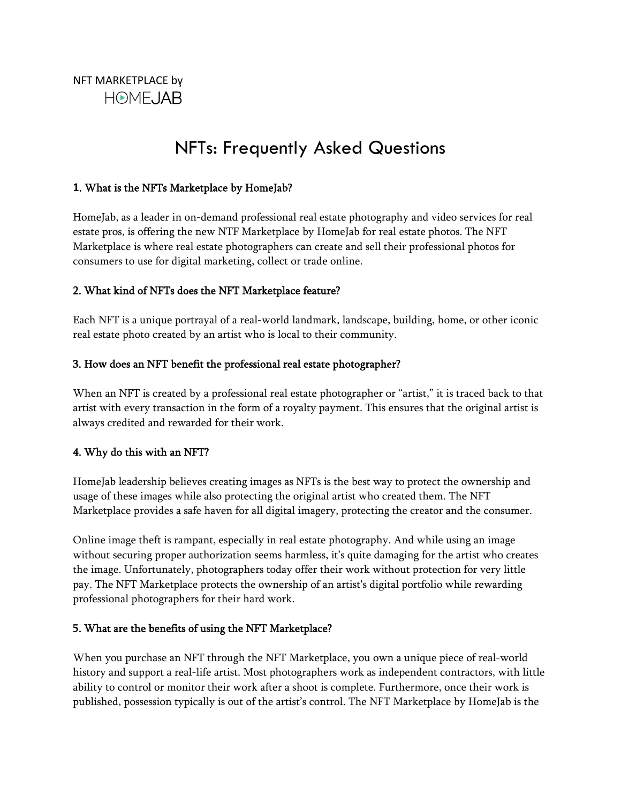# NFTs: Frequently Asked Questions

## **1**. What is the NFTs Marketplace by HomeJab?

HomeJab, as a leader in on-demand professional real estate photography and video services for real estate pros, is offering the new NTF Marketplace by HomeJab for real estate photos. The NFT Marketplace is where real estate photographers can create and sell their professional photos for consumers to use for digital marketing, collect or trade online.

## 2. What kind of NFTs does the NFT Marketplace feature?

Each NFT is a unique portrayal of a real-world landmark, landscape, building, home, or other iconic real estate photo created by an artist who is local to their community.

## 3. How does an NFT benefit the professional real estate photographer?

When an NFT is created by a professional real estate photographer or "artist," it is traced back to that artist with every transaction in the form of a royalty payment. This ensures that the original artist is always credited and rewarded for their work.

# 4. Why do this with an NFT?

HomeJab leadership believes creating images as NFTs is the best way to protect the ownership and usage of these images while also protecting the original artist who created them. The NFT Marketplace provides a safe haven for all digital imagery, protecting the creator and the consumer.

Online image theft is rampant, especially in real estate photography. And while using an image without securing proper authorization seems harmless, it's quite damaging for the artist who creates the image. Unfortunately, photographers today offer their work without protection for very little pay. The NFT Marketplace protects the ownership of an artist's digital portfolio while rewarding professional photographers for their hard work.

#### 5. What are the benefits of using the NFT Marketplace?

When you purchase an NFT through the NFT Marketplace, you own a unique piece of real-world history and support a real-life artist. Most photographers work as independent contractors, with little ability to control or monitor their work after a shoot is complete. Furthermore, once their work is published, possession typically is out of the artist's control. The NFT Marketplace by HomeJab is the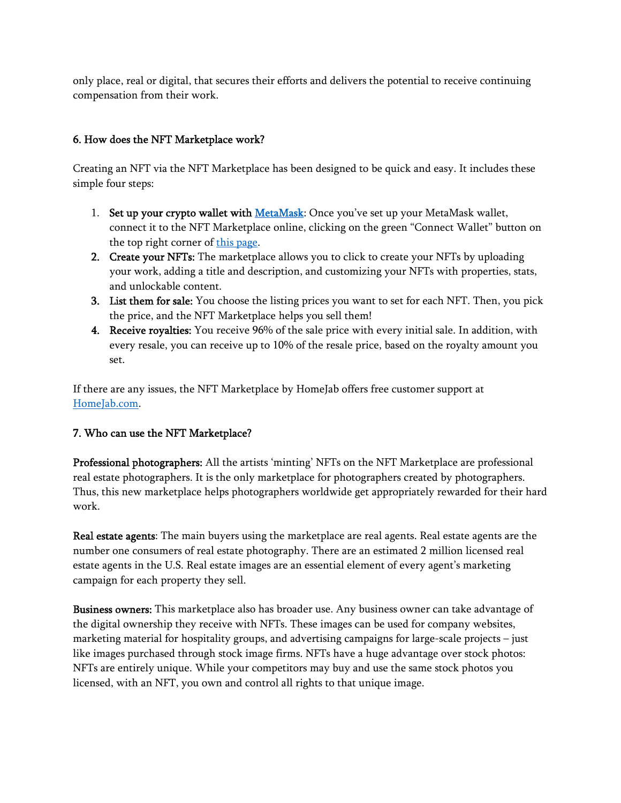only place, real or digital, that secures their efforts and delivers the potential to receive continuing compensation from their work.

# 6. How does the NFT Marketplace work?

Creating an NFT via the NFT Marketplace has been designed to be quick and easy. It includes these simple four steps:

- 1. Set up your crypto wallet with MetaMask: Once you've set up your MetaMask wallet, connect it to the NFT Marketplace online, clicking on the green "Connect Wallet" button on the top right corner of this page.
- 2. Create your NFTs: The marketplace allows you to click to create your NFTs by uploading your work, adding a title and description, and customizing your NFTs with properties, stats, and unlockable content.
- 3. List them for sale: You choose the listing prices you want to set for each NFT. Then, you pick the price, and the NFT Marketplace helps you sell them!
- 4. Receive royalties: You receive 96% of the sale price with every initial sale. In addition, with every resale, you can receive up to 10% of the resale price, based on the royalty amount you set.

If there are any issues, the NFT Marketplace by HomeJab offers free customer support at HomeJab.com.

# 7. Who can use the NFT Marketplace?

Professional photographers: All the artists 'minting' NFTs on the NFT Marketplace are professional real estate photographers. It is the only marketplace for photographers created by photographers. Thus, this new marketplace helps photographers worldwide get appropriately rewarded for their hard work.

Real estate agents: The main buyers using the marketplace are real agents. Real estate agents are the number one consumers of real estate photography. There are an estimated 2 million licensed real estate agents in the U.S. Real estate images are an essential element of every agent's marketing campaign for each property they sell.

Business owners: This marketplace also has broader use. Any business owner can take advantage of the digital ownership they receive with NFTs. These images can be used for company websites, marketing material for hospitality groups, and advertising campaigns for large-scale projects – just like images purchased through stock image firms. NFTs have a huge advantage over stock photos: NFTs are entirely unique. While your competitors may buy and use the same stock photos you licensed, with an NFT, you own and control all rights to that unique image.